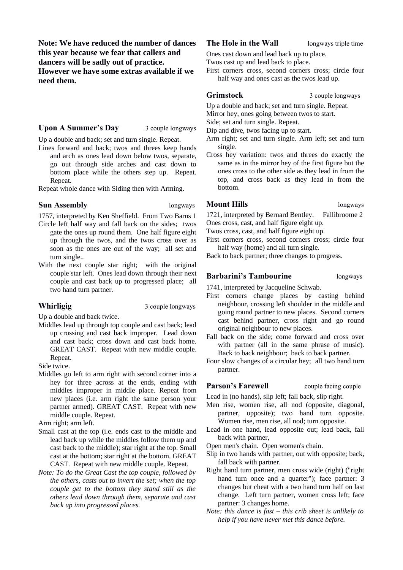**Note: We have reduced the number of dances this year because we fear that callers and dancers will be sadly out of practice. However we have some extras available if we need them.**

#### **Upon A Summer's Day** 3 couple longways

Up a double and back; set and turn single. Repeat.

Lines forward and back; twos and threes keep hands and arch as ones lead down below twos, separate, go out through side arches and cast down to bottom place while the others step up. Repeat. Repeat.

Repeat whole dance with Siding then with Arming.

#### **Sun Assembly longways**

1757, interpreted by Ken Sheffield. From Two Barns 1

- Circle left half way and fall back on the sides; twos gate the ones up round them. One half figure eight up through the twos, and the twos cross over as soon as the ones are out of the way; all set and turn single..
- With the next couple star right; with the original couple star left. Ones lead down through their next couple and cast back up to progressed place; all two hand turn partner.

**Whirligig** 3 couple longways

Up a double and back twice.

Middles lead up through top couple and cast back; lead up crossing and cast back improper. Lead down and cast back; cross down and cast back home. GREAT CAST. Repeat with new middle couple. Repeat.

Side twice.

Middles go left to arm right with second corner into a hey for three across at the ends, ending with middles improper in middle place. Repeat from new places (i.e. arm right the same person your partner armed). GREAT CAST. Repeat with new middle couple. Repeat.

Arm right; arm left.

- Small cast at the top (i.e. ends cast to the middle and lead back up while the middles follow them up and cast back to the middle); star right at the top. Small cast at the bottom; star right at the bottom. GREAT CAST. Repeat with new middle couple. Repeat.
- *Note: To do the Great Cast the top couple, followed by the others, casts out to invert the set; when the top couple get to the bottom they stand still as the others lead down through them, separate and cast back up into progressed places.*

#### **The Hole in the Wall** longways triple time

Ones cast down and lead back up to place.

Twos cast up and lead back to place.

First corners cross, second corners cross; circle four half way and ones cast as the twos lead up.

**Grimstock** 3 couple longways

Up a double and back; set and turn single. Repeat.

Mirror hey, ones going between twos to start.

Side; set and turn single. Repeat.

Dip and dive, twos facing up to start.

- Arm right; set and turn single. Arm left; set and turn single.
- Cross hey variation: twos and threes do exactly the same as in the mirror hey of the first figure but the ones cross to the other side as they lead in from the top, and cross back as they lead in from the bottom.

## **Mount Hills bloom longways**

1721, interpreted by Bernard Bentley. Fallibroome 2 Ones cross, cast, and half figure eight up.

Twos cross, cast, and half figure eight up.

First corners cross, second corners cross; circle four half way (home) and all turn single.

Back to back partner; three changes to progress.

#### **Barbarini's Tambourine** longways

1741, interpreted by Jacqueline Schwab.

- First corners change places by casting behind neighbour, crossing left shoulder in the middle and going round partner to new places. Second corners cast behind partner, cross right and go round original neighbour to new places.
- Fall back on the side; come forward and cross over with partner (all in the same phrase of music). Back to back neighbour; back to back partner.
- Four slow changes of a circular hey; all two hand turn partner.

**Parson's Farewell** couple facing couple

Lead in (no hands), slip left; fall back, slip right.

- Men rise, women rise, all nod (opposite, diagonal, partner, opposite); two hand turn opposite. Women rise, men rise, all nod; turn opposite.
- Lead in one hand, lead opposite out; lead back, fall back with partner,

Open men's chain. Open women's chain.

- Slip in two hands with partner, out with opposite; back, fall back with partner.
- Right hand turn partner, men cross wide (right) ("right hand turn once and a quarter"); face partner: 3 changes but cheat with a two hand turn half on last change. Left turn partner, women cross left; face partner: 3 changes home.
- *Note: this dance is fast this crib sheet is unlikely to help if you have never met this dance before.*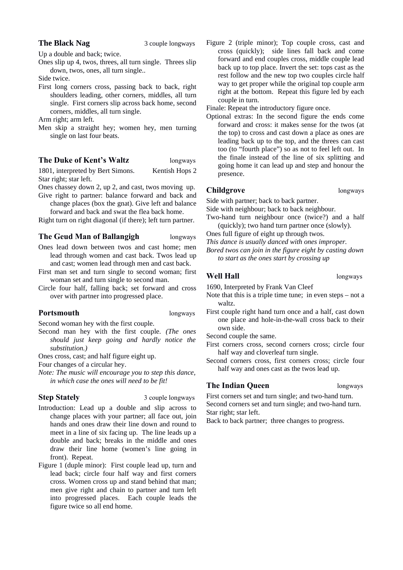### **The Black Nag** 3 couple longways

Up a double and back; twice.

Ones slip up 4, twos, threes, all turn single. Threes slip down, twos, ones, all turn single..

Side twice.

First long corners cross, passing back to back, right shoulders leading, other corners, middles, all turn single. First corners slip across back home, second corners, middles, all turn single.

Arm right; arm left.

Men skip a straight hey; women hey, men turning single on last four beats.

## **The Duke of Kent's Waltz** longways

1801, interpreted by Bert Simons. Kentish Hops 2 Star right; star left.

Ones chassey down 2, up 2, and cast, twos moving up.

Give right to partner: balance forward and back and change places (box the gnat). Give left and balance forward and back and swat the flea back home.

Right turn on right diagonal (if there); left turn partner.

## **The Geud Man of Ballangigh** longways

- Ones lead down between twos and cast home; men lead through women and cast back. Twos lead up and cast; women lead through men and cast back.
- First man set and turn single to second woman; first woman set and turn single to second man.
- Circle four half, falling back; set forward and cross over with partner into progressed place.

## **Portsmouth longways**

Second woman hey with the first couple.

Second man hey with the first couple. *(The ones should just keep going and hardly notice the substitution.)*

Ones cross, cast; and half figure eight up.

Four changes of a circular hey.

*Note: The music will encourage you to step this dance, in which case the ones will need to be fit!*

**Step Stately** 3 couple longways

- Introduction: Lead up a double and slip across to change places with your partner; all face out, join hands and ones draw their line down and round to meet in a line of six facing up. The line leads up a double and back; breaks in the middle and ones draw their line home (women's line going in front). Repeat.
- Figure 1 (duple minor): First couple lead up, turn and lead back; circle four half way and first corners cross. Women cross up and stand behind that man; men give right and chain to partner and turn left into progressed places. Each couple leads the figure twice so all end home.

Figure 2 (triple minor); Top couple cross, cast and cross (quickly); side lines fall back and come forward and end couples cross, middle couple lead back up to top place. Invert the set: tops cast as the rest follow and the new top two couples circle half way to get proper while the original top couple arm right at the bottom. Repeat this figure led by each couple in turn.

Finale: Repeat the introductory figure once.

Optional extras: In the second figure the ends come forward and cross: it makes sense for the twos (at the top) to cross and cast down a place as ones are leading back up to the top, and the threes can cast too (to "fourth place") so as not to feel left out. In the finale instead of the line of six splitting and going home it can lead up and step and honour the presence.

## **Childgrove** longways

Side with partner; back to back partner.

Side with neighbour; back to back neighbour.

- Two-hand turn neighbour once (twice?) and a half (quickly); two hand turn partner once (slowly).
- Ones full figure of eight up through twos.
- *This dance is usually danced with ones improper.*
- *Bored twos can join in the figure eight by casting down to start as the ones start by crossing up*

## **Well Hall** longways

1690, Interpreted by Frank Van Cleef

- Note that this is a triple time tune; in even steps not a waltz.
- First couple right hand turn once and a half, cast down one place and hole-in-the-wall cross back to their own side.

Second couple the same.

- First corners cross, second corners cross; circle four half way and cloverleaf turn single.
- Second corners cross, first corners cross; circle four half way and ones cast as the twos lead up.

## **The Indian Queen** longways

First corners set and turn single; and two-hand turn. Second corners set and turn single; and two-hand turn. Star right; star left.

Back to back partner; three changes to progress.